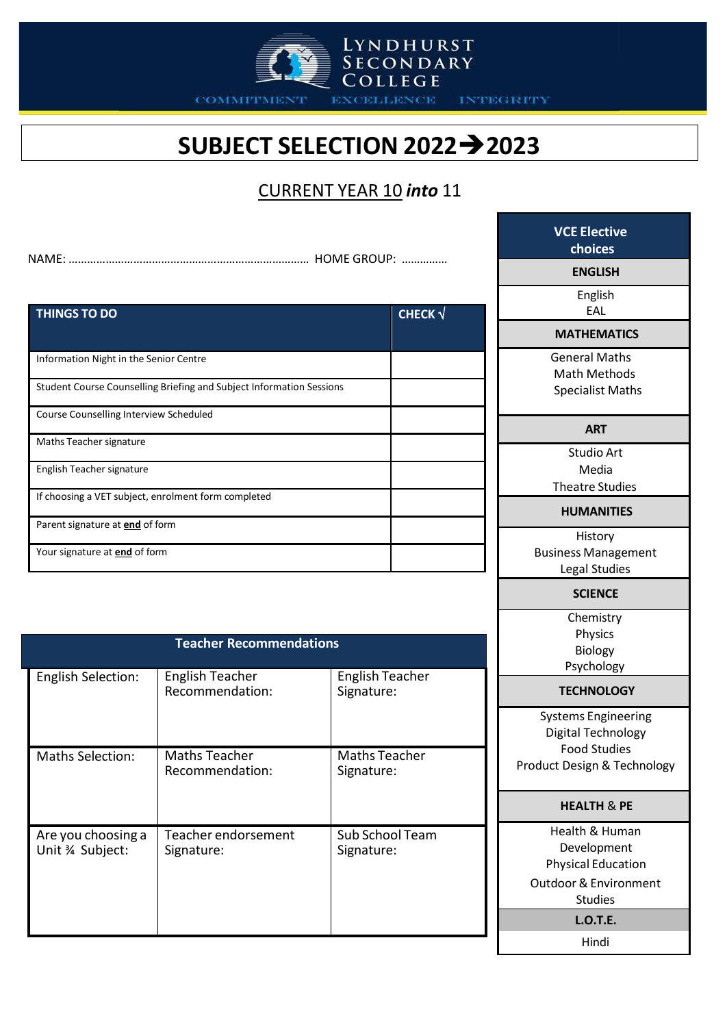

COMMITMENT

**EXCELLENCE INTEGRITY** 

## **SUBJECT SELECTION 20222023**

LYNDHURST<br>SECONDARY<br>COLLEGE

#### CURRENT YEAR 10 *into* 11

| <b>THINGS TO DO</b>                                                  | CHECK $\sqrt$ |
|----------------------------------------------------------------------|---------------|
|                                                                      |               |
| Information Night in the Senior Centre                               |               |
| Student Course Counselling Briefing and Subject Information Sessions |               |
| Course Counselling Interview Scheduled                               |               |
| Maths Teacher signature                                              |               |
| English Teacher signature                                            |               |
| If choosing a VET subject, enrolment form completed                  |               |
| Parent signature at <b>end</b> of form                               |               |
| Your signature at end of form                                        |               |

| <b>Teacher Recommendations</b>        |                                           |                                      |
|---------------------------------------|-------------------------------------------|--------------------------------------|
| <b>English Selection:</b>             | <b>English Teacher</b><br>Recommendation: | <b>English Teacher</b><br>Signature: |
| <b>Maths Selection:</b>               | Maths Teacher<br>Recommendation:          | Maths Teacher<br>Signature:          |
| Are you choosing a<br>Unit % Subject: | Teacher endorsement<br>Signature:         | <b>Sub School Team</b><br>Signature: |

| <b>VCE Elective</b><br>choices                                                                         |  |
|--------------------------------------------------------------------------------------------------------|--|
| <b>ENGLISH</b>                                                                                         |  |
| English<br>EAL                                                                                         |  |
| <b>MATHEMATICS</b>                                                                                     |  |
| General Maths<br><b>Math Methods</b><br><b>Specialist Maths</b>                                        |  |
| <b>ART</b>                                                                                             |  |
| <b>Studio Art</b><br>Media<br><b>Theatre Studies</b>                                                   |  |
| <b>HUMANITIES</b>                                                                                      |  |
| History<br><b>Business Management</b><br><b>Legal Studies</b>                                          |  |
| <b>SCIENCE</b>                                                                                         |  |
| Chemistry<br>Physics<br><b>Biology</b><br>Psychology                                                   |  |
| <b>TECHNOLOGY</b>                                                                                      |  |
| <b>Systems Engineering</b><br>Digital Technology<br><b>Food Studies</b><br>Product Design & Technology |  |
| <b>HEALTH &amp; PE</b>                                                                                 |  |

Health & Human Development Physical Education Outdoor& Environment Studies **L.O.T.E.**

Hindi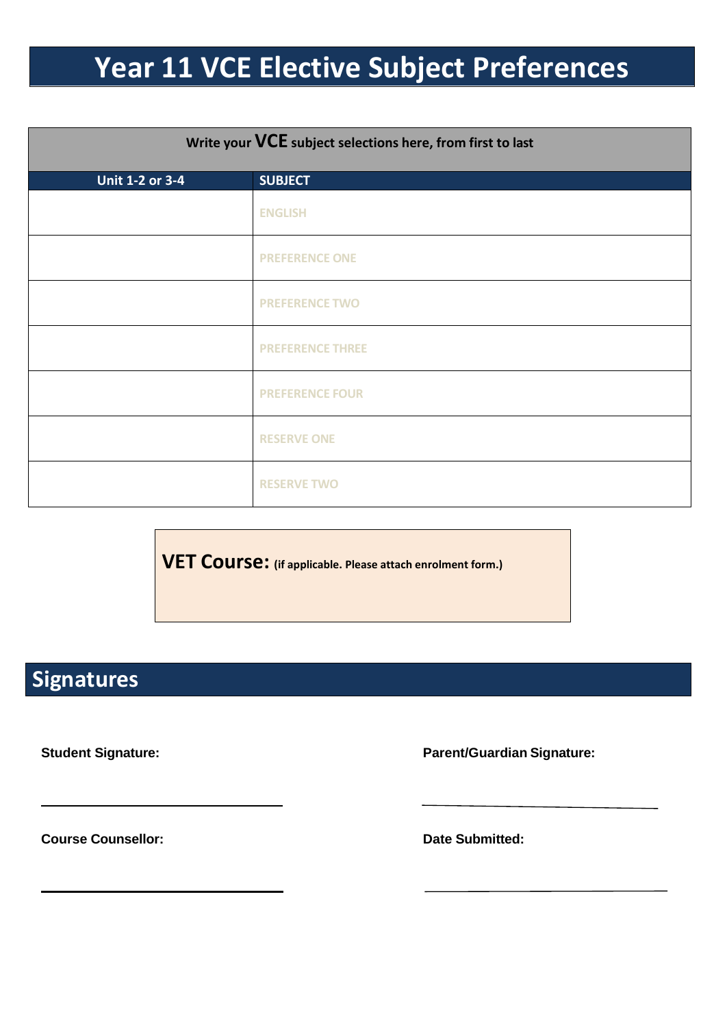# **Year 11 VCE Elective Subject Preferences**

| Write your VCE subject selections here, from first to last |                         |
|------------------------------------------------------------|-------------------------|
| Unit 1-2 or 3-4                                            | <b>SUBJECT</b>          |
|                                                            | <b>ENGLISH</b>          |
|                                                            | <b>PREFERENCE ONE</b>   |
|                                                            | <b>PREFERENCE TWO</b>   |
|                                                            | <b>PREFERENCE THREE</b> |
|                                                            | <b>PREFERENCE FOUR</b>  |
|                                                            | <b>RESERVE ONE</b>      |
|                                                            | <b>RESERVE TWO</b>      |

**VET Course: (if applicable. Please attach enrolment form.)**

### **Signatures**

**Student Signature: Parent/Guardian Signature:**

**Course Counsellor: Date Submitted:**